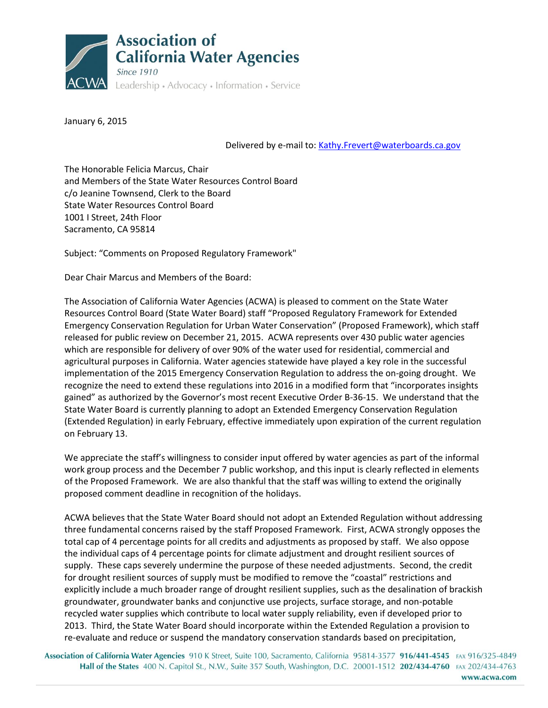

January 6, 2015

Delivered by e-mail to: [Kathy.Frevert@waterboards.ca.gov](mailto:Kathy.Frevert@waterboards.ca.gov)

The Honorable Felicia Marcus, Chair and Members of the State Water Resources Control Board c/o Jeanine Townsend, Clerk to the Board State Water Resources Control Board 1001 I Street, 24th Floor Sacramento, CA 95814

Subject: "Comments on Proposed Regulatory Framework"

Dear Chair Marcus and Members of the Board:

The Association of California Water Agencies (ACWA) is pleased to comment on the State Water Resources Control Board (State Water Board) staff "Proposed Regulatory Framework for Extended Emergency Conservation Regulation for Urban Water Conservation" (Proposed Framework), which staff released for public review on December 21, 2015. ACWA represents over 430 public water agencies which are responsible for delivery of over 90% of the water used for residential, commercial and agricultural purposes in California. Water agencies statewide have played a key role in the successful implementation of the 2015 Emergency Conservation Regulation to address the on-going drought. We recognize the need to extend these regulations into 2016 in a modified form that "incorporates insights gained" as authorized by the Governor's most recent Executive Order B-36-15. We understand that the State Water Board is currently planning to adopt an Extended Emergency Conservation Regulation (Extended Regulation) in early February, effective immediately upon expiration of the current regulation on February 13.

We appreciate the staff's willingness to consider input offered by water agencies as part of the informal work group process and the December 7 public workshop, and this input is clearly reflected in elements of the Proposed Framework. We are also thankful that the staff was willing to extend the originally proposed comment deadline in recognition of the holidays.

ACWA believes that the State Water Board should not adopt an Extended Regulation without addressing three fundamental concerns raised by the staff Proposed Framework. First, ACWA strongly opposes the total cap of 4 percentage points for all credits and adjustments as proposed by staff. We also oppose the individual caps of 4 percentage points for climate adjustment and drought resilient sources of supply. These caps severely undermine the purpose of these needed adjustments. Second, the credit for drought resilient sources of supply must be modified to remove the "coastal" restrictions and explicitly include a much broader range of drought resilient supplies, such as the desalination of brackish groundwater, groundwater banks and conjunctive use projects, surface storage, and non-potable recycled water supplies which contribute to local water supply reliability, even if developed prior to 2013. Third, the State Water Board should incorporate within the Extended Regulation a provision to re-evaluate and reduce or suspend the mandatory conservation standards based on precipitation,

Association of California Water Agencies 910 K Street, Suite 100, Sacramento, California 95814-3577 916/441-4545 FAX 916/325-4849 Hall of the States 400 N. Capitol St., N.W., Suite 357 South, Washington, D.C. 20001-1512 202/434-4760 FAX 202/434-4763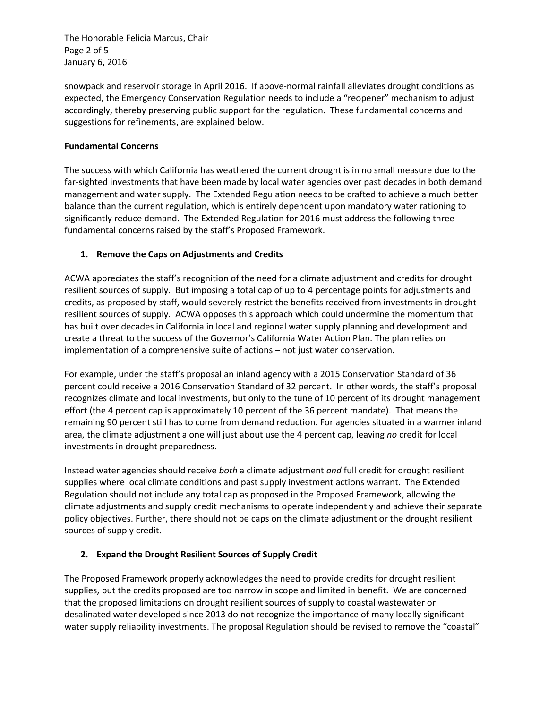The Honorable Felicia Marcus, Chair Page 2 of 5 January 6, 2016

snowpack and reservoir storage in April 2016. If above-normal rainfall alleviates drought conditions as expected, the Emergency Conservation Regulation needs to include a "reopener" mechanism to adjust accordingly, thereby preserving public support for the regulation. These fundamental concerns and suggestions for refinements, are explained below.

### **Fundamental Concerns**

The success with which California has weathered the current drought is in no small measure due to the far-sighted investments that have been made by local water agencies over past decades in both demand management and water supply. The Extended Regulation needs to be crafted to achieve a much better balance than the current regulation, which is entirely dependent upon mandatory water rationing to significantly reduce demand. The Extended Regulation for 2016 must address the following three fundamental concerns raised by the staff's Proposed Framework.

# **1. Remove the Caps on Adjustments and Credits**

ACWA appreciates the staff's recognition of the need for a climate adjustment and credits for drought resilient sources of supply. But imposing a total cap of up to 4 percentage points for adjustments and credits, as proposed by staff, would severely restrict the benefits received from investments in drought resilient sources of supply. ACWA opposes this approach which could undermine the momentum that has built over decades in California in local and regional water supply planning and development and create a threat to the success of the Governor's California Water Action Plan. The plan relies on implementation of a comprehensive suite of actions – not just water conservation.

For example, under the staff's proposal an inland agency with a 2015 Conservation Standard of 36 percent could receive a 2016 Conservation Standard of 32 percent. In other words, the staff's proposal recognizes climate and local investments, but only to the tune of 10 percent of its drought management effort (the 4 percent cap is approximately 10 percent of the 36 percent mandate). That means the remaining 90 percent still has to come from demand reduction. For agencies situated in a warmer inland area, the climate adjustment alone will just about use the 4 percent cap, leaving *no* credit for local investments in drought preparedness.

Instead water agencies should receive *both* a climate adjustment *and* full credit for drought resilient supplies where local climate conditions and past supply investment actions warrant. The Extended Regulation should not include any total cap as proposed in the Proposed Framework, allowing the climate adjustments and supply credit mechanisms to operate independently and achieve their separate policy objectives. Further, there should not be caps on the climate adjustment or the drought resilient sources of supply credit.

# **2. Expand the Drought Resilient Sources of Supply Credit**

The Proposed Framework properly acknowledges the need to provide credits for drought resilient supplies, but the credits proposed are too narrow in scope and limited in benefit. We are concerned that the proposed limitations on drought resilient sources of supply to coastal wastewater or desalinated water developed since 2013 do not recognize the importance of many locally significant water supply reliability investments. The proposal Regulation should be revised to remove the "coastal"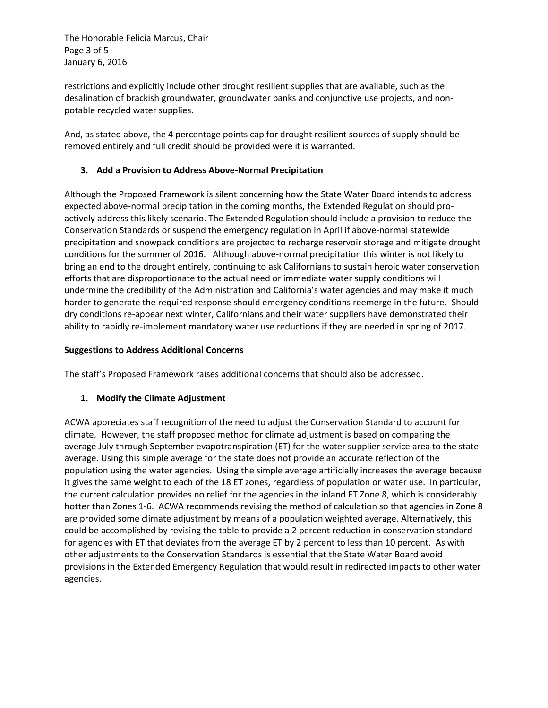The Honorable Felicia Marcus, Chair Page 3 of 5 January 6, 2016

restrictions and explicitly include other drought resilient supplies that are available, such as the desalination of brackish groundwater, groundwater banks and conjunctive use projects, and nonpotable recycled water supplies.

And, as stated above, the 4 percentage points cap for drought resilient sources of supply should be removed entirely and full credit should be provided were it is warranted.

# **3. Add a Provision to Address Above-Normal Precipitation**

Although the Proposed Framework is silent concerning how the State Water Board intends to address expected above-normal precipitation in the coming months, the Extended Regulation should proactively address this likely scenario. The Extended Regulation should include a provision to reduce the Conservation Standards or suspend the emergency regulation in April if above-normal statewide precipitation and snowpack conditions are projected to recharge reservoir storage and mitigate drought conditions for the summer of 2016. Although above-normal precipitation this winter is not likely to bring an end to the drought entirely, continuing to ask Californians to sustain heroic water conservation efforts that are disproportionate to the actual need or immediate water supply conditions will undermine the credibility of the Administration and California's water agencies and may make it much harder to generate the required response should emergency conditions reemerge in the future. Should dry conditions re-appear next winter, Californians and their water suppliers have demonstrated their ability to rapidly re-implement mandatory water use reductions if they are needed in spring of 2017.

#### **Suggestions to Address Additional Concerns**

The staff's Proposed Framework raises additional concerns that should also be addressed.

# **1. Modify the Climate Adjustment**

ACWA appreciates staff recognition of the need to adjust the Conservation Standard to account for climate. However, the staff proposed method for climate adjustment is based on comparing the average July through September evapotranspiration (ET) for the water supplier service area to the state average. Using this simple average for the state does not provide an accurate reflection of the population using the water agencies. Using the simple average artificially increases the average because it gives the same weight to each of the 18 ET zones, regardless of population or water use. In particular, the current calculation provides no relief for the agencies in the inland ET Zone 8, which is considerably hotter than Zones 1-6. ACWA recommends revising the method of calculation so that agencies in Zone 8 are provided some climate adjustment by means of a population weighted average. Alternatively, this could be accomplished by revising the table to provide a 2 percent reduction in conservation standard for agencies with ET that deviates from the average ET by 2 percent to less than 10 percent. As with other adjustments to the Conservation Standards is essential that the State Water Board avoid provisions in the Extended Emergency Regulation that would result in redirected impacts to other water agencies.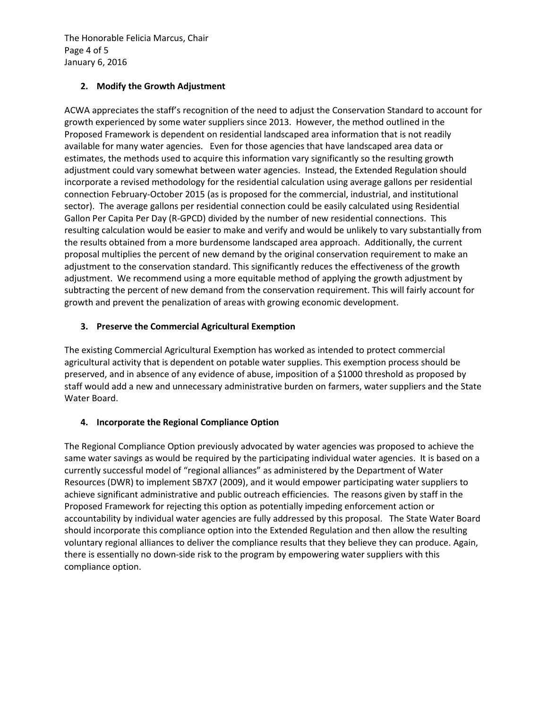The Honorable Felicia Marcus, Chair Page 4 of 5 January 6, 2016

# **2. Modify the Growth Adjustment**

ACWA appreciates the staff's recognition of the need to adjust the Conservation Standard to account for growth experienced by some water suppliers since 2013. However, the method outlined in the Proposed Framework is dependent on residential landscaped area information that is not readily available for many water agencies. Even for those agencies that have landscaped area data or estimates, the methods used to acquire this information vary significantly so the resulting growth adjustment could vary somewhat between water agencies. Instead, the Extended Regulation should incorporate a revised methodology for the residential calculation using average gallons per residential connection February-October 2015 (as is proposed for the commercial, industrial, and institutional sector). The average gallons per residential connection could be easily calculated using Residential Gallon Per Capita Per Day (R-GPCD) divided by the number of new residential connections. This resulting calculation would be easier to make and verify and would be unlikely to vary substantially from the results obtained from a more burdensome landscaped area approach. Additionally, the current proposal multiplies the percent of new demand by the original conservation requirement to make an adjustment to the conservation standard. This significantly reduces the effectiveness of the growth adjustment. We recommend using a more equitable method of applying the growth adjustment by subtracting the percent of new demand from the conservation requirement. This will fairly account for growth and prevent the penalization of areas with growing economic development.

# **3. Preserve the Commercial Agricultural Exemption**

The existing Commercial Agricultural Exemption has worked as intended to protect commercial agricultural activity that is dependent on potable water supplies. This exemption process should be preserved, and in absence of any evidence of abuse, imposition of a \$1000 threshold as proposed by staff would add a new and unnecessary administrative burden on farmers, water suppliers and the State Water Board.

# **4. Incorporate the Regional Compliance Option**

The Regional Compliance Option previously advocated by water agencies was proposed to achieve the same water savings as would be required by the participating individual water agencies. It is based on a currently successful model of "regional alliances" as administered by the Department of Water Resources (DWR) to implement SB7X7 (2009), and it would empower participating water suppliers to achieve significant administrative and public outreach efficiencies. The reasons given by staff in the Proposed Framework for rejecting this option as potentially impeding enforcement action or accountability by individual water agencies are fully addressed by this proposal. The State Water Board should incorporate this compliance option into the Extended Regulation and then allow the resulting voluntary regional alliances to deliver the compliance results that they believe they can produce. Again, there is essentially no down-side risk to the program by empowering water suppliers with this compliance option.